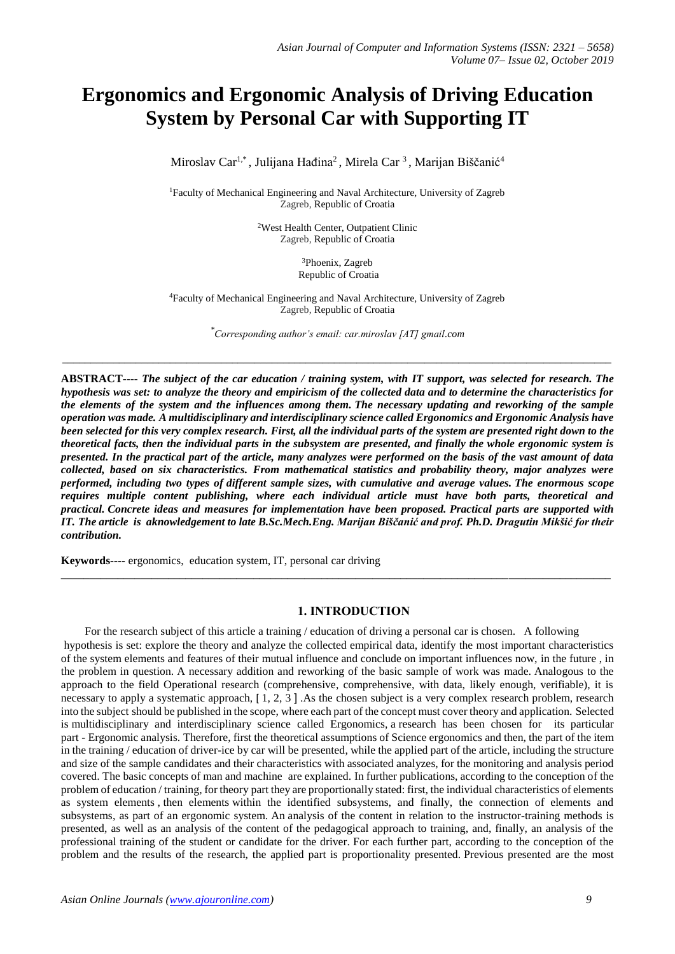# **Ergonomics and Ergonomic Analysis of Driving Education System by Personal Car with Supporting IT**

Miroslav Car<sup>1,\*</sup>, Julijana Hađina<sup>2</sup>, Mirela Car<sup>3</sup>, Marijan Biščanić<sup>4</sup>

<sup>1</sup>Faculty of Mechanical Engineering and Naval Architecture, University of Zagreb Zagreb, Republic of Croatia

> <sup>2</sup>West Health Center, Outpatient Clinic Zagreb, Republic of Croatia

> > <sup>3</sup>Phoenix, Zagreb Republic of Croatia

<sup>4</sup>Faculty of Mechanical Engineering and Naval Architecture, University of Zagreb Zagreb, Republic of Croatia

*\* Corresponding author's email: car.miroslav [AT] gmail.com*

\_\_\_\_\_\_\_\_\_\_\_\_\_\_\_\_\_\_\_\_\_\_\_\_\_\_\_\_\_\_\_\_\_\_\_\_\_\_\_\_\_\_\_\_\_\_\_\_\_\_\_\_\_\_\_\_\_\_\_\_\_\_\_\_\_\_\_\_\_\_\_\_\_\_\_\_\_\_\_\_\_\_\_\_\_\_\_\_\_\_\_\_\_\_\_\_\_

**ABSTRACT----** *The subject of the car education / training system, with IT support, was selected for research. The hypothesis was set: to analyze the theory and empiricism of the collected data and to determine the characteristics for the elements of the system and the influences among them. The necessary updating and reworking of the sample operation was made. A multidisciplinary and interdisciplinary science called Ergonomics and Ergonomic Analysis have been selected for this very complex research. First, all the individual parts of the system are presented right down to the theoretical facts, then the individual parts in the subsystem are presented, and finally the whole ergonomic system is presented. In the practical part of the article, many analyzes were performed on the basis of the vast amount of data collected, based on six characteristics. From mathematical statistics and probability theory, major analyzes were performed, including two types of different sample sizes, with cumulative and average values. The enormous scope requires multiple content publishing, where each individual article must have both parts, theoretical and practical. Concrete ideas and measures for implementation have been proposed. Practical parts are supported with IT. The article is aknowledgement to late B.Sc.Mech.Eng. Marijan Biščanić and prof. Ph.D. Dragutin Mikšić for their contribution.*

 $\_$  ,  $\_$  ,  $\_$  ,  $\_$  ,  $\_$  ,  $\_$  ,  $\_$  ,  $\_$  ,  $\_$  ,  $\_$  ,  $\_$  ,  $\_$  ,  $\_$  ,  $\_$  ,  $\_$  ,  $\_$  ,  $\_$  ,  $\_$  ,  $\_$  ,  $\_$  ,  $\_$  ,  $\_$  ,  $\_$  ,  $\_$  ,  $\_$  ,  $\_$  ,  $\_$  ,  $\_$  ,  $\_$  ,  $\_$  ,  $\_$  ,  $\_$  ,  $\_$  ,  $\_$  ,  $\_$  ,  $\_$  ,  $\_$  ,

**Keywords----** ergonomics, education system, IT, personal car driving

#### **1. INTRODUCTION**

For the research subject of this article a training / education of driving a personal car is chosen. A following hypothesis is set: explore the theory and analyze the collected empirical data, identify the most important characteristics of the system elements and features of their mutual influence and conclude on important influences now, in the future , in the problem in question. A necessary addition and reworking of the basic sample of work was made. Analogous to the approach to the field Operational research (comprehensive, comprehensive, with data, likely enough, verifiable), it is necessary to apply a systematic approach, [ 1, 2, 3 ] .As the chosen subject is a very complex research problem, research into the subject should be published in the scope, where each part of the concept must cover theory and application. Selected is multidisciplinary and interdisciplinary science called Ergonomics, a research has been chosen for its particular part - Ergonomic analysis. Therefore, first the theoretical assumptions of Science ergonomics and then, the part of the item in the training / education of driver-ice by car will be presented, while the applied part of the article, including the structure and size of the sample candidates and their characteristics with associated analyzes, for the monitoring and analysis period covered. The basic concepts of man and machine are explained. In further publications, according to the conception of the problem of education / training, for theory part they are proportionally stated: first, the individual characteristics of elements as system elements , then elements within the identified subsystems, and finally, the connection of elements and subsystems, as part of an ergonomic system. An analysis of the content in relation to the instructor-training methods is presented, as well as an analysis of the content of the pedagogical approach to training, and, finally, an analysis of the professional training of the student or candidate for the driver. For each further part, according to the conception of the problem and the results of the research, the applied part is proportionality presented. Previous presented are the most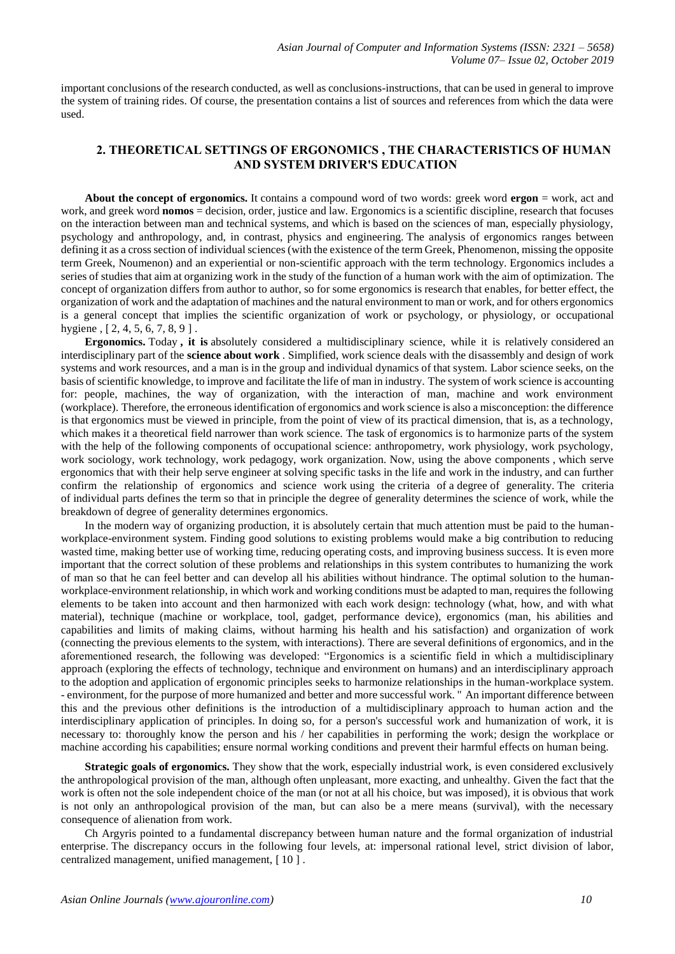important conclusions of the research conducted, as well as conclusions-instructions, that can be used in general to improve the system of training rides. Of course, the presentation contains a list of sources and references from which the data were used.

## **2. THEORETICAL SETTINGS OF ERGONOMICS , THE CHARACTERISTICS OF HUMAN AND SYSTEM DRIVER'S EDUCATION**

**About the concept of ergonomics.** It contains a compound word of two words: greek word **ergon** = work, act and work, and greek word **nomos** = decision, order, justice and law. Ergonomics is a scientific discipline, research that focuses on the interaction between man and technical systems, and which is based on the sciences of man, especially physiology, psychology and anthropology, and, in contrast, physics and engineering. The analysis of ergonomics ranges between defining it as a cross section of individual sciences (with the existence of the term Greek, Phenomenon, missing the opposite term Greek, Noumenon) and an experiential or non-scientific approach with the term technology. Ergonomics includes a series of studies that aim at organizing work in the study of the function of a human work with the aim of optimization. The concept of organization differs from author to author, so for some ergonomics is research that enables, for better effect, the organization of work and the adaptation of machines and the natural environment to man or work, and for others ergonomics is a general concept that implies the scientific organization of work or psychology, or physiology, or occupational hygiene, [2, 4, 5, 6, 7, 8, 9].

**Ergonomics.** Today **, it is** absolutely considered a multidisciplinary science, while it is relatively considered an interdisciplinary part of the **science about work** . Simplified, work science deals with the disassembly and design of work systems and work resources, and a man is in the group and individual dynamics of that system. Labor science seeks, on the basis of scientific knowledge, to improve and facilitate the life of man in industry. The system of work science is accounting for: people, machines, the way of organization, with the interaction of man, machine and work environment (workplace). Therefore, the erroneous identification of ergonomics and work science is also a misconception: the difference is that ergonomics must be viewed in principle, from the point of view of its practical dimension, that is, as a technology, which makes it a theoretical field narrower than work science. The task of ergonomics is to harmonize parts of the system with the help of the following components of occupational science: anthropometry, work physiology, work psychology, work sociology, work technology, work pedagogy, work organization. Now, using the above components , which serve ergonomics that with their help serve engineer at solving specific tasks in the life and work in the industry, and can further confirm the relationship of ergonomics and science work using the criteria of a degree of generality. The criteria of individual parts defines the term so that in principle the degree of generality determines the science of work, while the breakdown of degree of generality determines ergonomics.

In the modern way of organizing production, it is absolutely certain that much attention must be paid to the humanworkplace-environment system. Finding good solutions to existing problems would make a big contribution to reducing wasted time, making better use of working time, reducing operating costs, and improving business success. It is even more important that the correct solution of these problems and relationships in this system contributes to humanizing the work of man so that he can feel better and can develop all his abilities without hindrance. The optimal solution to the humanworkplace-environment relationship, in which work and working conditions must be adapted to man, requires the following elements to be taken into account and then harmonized with each work design: technology (what, how, and with what material), technique (machine or workplace, tool, gadget, performance device), ergonomics (man, his abilities and capabilities and limits of making claims, without harming his health and his satisfaction) and organization of work (connecting the previous elements to the system, with interactions). There are several definitions of ergonomics, and in the aforementioned research, the following was developed: "Ergonomics is a scientific field in which a multidisciplinary approach (exploring the effects of technology, technique and environment on humans) and an interdisciplinary approach to the adoption and application of ergonomic principles seeks to harmonize relationships in the human-workplace system. - environment, for the purpose of more humanized and better and more successful work. " An important difference between this and the previous other definitions is the introduction of a multidisciplinary approach to human action and the interdisciplinary application of principles. In doing so, for a person's successful work and humanization of work, it is necessary to: thoroughly know the person and his / her capabilities in performing the work; design the workplace or machine according his capabilities; ensure normal working conditions and prevent their harmful effects on human being.

**Strategic goals of ergonomics.** They show that the work, especially industrial work, is even considered exclusively the anthropological provision of the man, although often unpleasant, more exacting, and unhealthy. Given the fact that the work is often not the sole independent choice of the man (or not at all his choice, but was imposed), it is obvious that work is not only an anthropological provision of the man, but can also be a mere means (survival), with the necessary consequence of alienation from work.

Ch Argyris pointed to a fundamental discrepancy between human nature and the formal organization of industrial enterprise. The discrepancy occurs in the following four levels, at: impersonal rational level, strict division of labor, centralized management, unified management, [ 10 ] .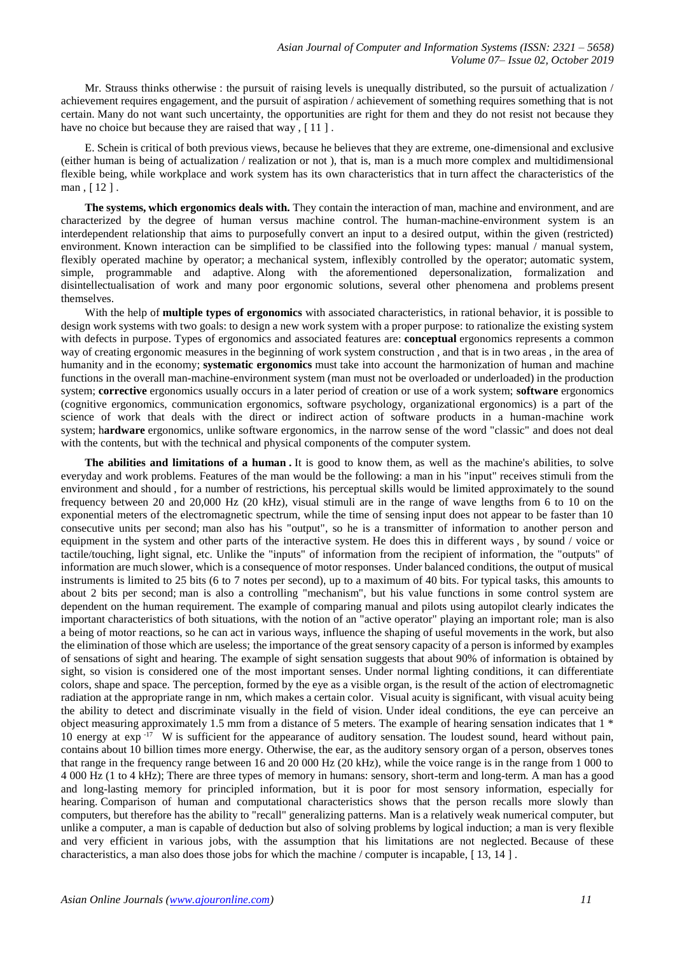Mr. Strauss thinks otherwise : the pursuit of raising levels is unequally distributed, so the pursuit of actualization / achievement requires engagement, and the pursuit of aspiration / achievement of something requires something that is not certain. Many do not want such uncertainty, the opportunities are right for them and they do not resist not because they have no choice but because they are raised that way,  $[11]$ .

E. Schein is critical of both previous views, because he believes that they are extreme, one-dimensional and exclusive (either human is being of actualization / realization or not ), that is, man is a much more complex and multidimensional flexible being, while workplace and work system has its own characteristics that in turn affect the characteristics of the man , [ 12 ] .

**The systems, which ergonomics deals with.** They contain the interaction of man, machine and environment, and are characterized by the degree of human versus machine control. The human-machine-environment system is an interdependent relationship that aims to purposefully convert an input to a desired output, within the given (restricted) environment. Known interaction can be simplified to be classified into the following types: manual / manual system, flexibly operated machine by operator; a mechanical system, inflexibly controlled by the operator; automatic system, simple, programmable and adaptive. Along with the aforementioned depersonalization, formalization and disintellectualisation of work and many poor ergonomic solutions, several other phenomena and problems present themselves.

With the help of **multiple types of ergonomics** with associated characteristics, in rational behavior, it is possible to design work systems with two goals: to design a new work system with a proper purpose: to rationalize the existing system with defects in purpose. Types of ergonomics and associated features are: **conceptual** ergonomics represents a common way of creating ergonomic measures in the beginning of work system construction , and that is in two areas , in the area of humanity and in the economy; **systematic ergonomics** must take into account the harmonization of human and machine functions in the overall man-machine-environment system (man must not be overloaded or underloaded) in the production system; **corrective** ergonomics usually occurs in a later period of creation or use of a work system; **software** ergonomics (cognitive ergonomics, communication ergonomics, software psychology, organizational ergonomics) is a part of the science of work that deals with the direct or indirect action of software products in a human-machine work system; h**ardware** ergonomics, unlike software ergonomics, in the narrow sense of the word "classic" and does not deal with the contents, but with the technical and physical components of the computer system.

**The abilities and limitations of a human .** It is good to know them, as well as the machine's abilities, to solve everyday and work problems. Features of the man would be the following: a man in his "input" receives stimuli from the environment and should , for a number of restrictions, his perceptual skills would be limited approximately to the sound frequency between 20 and 20,000 Hz (20 kHz), visual stimuli are in the range of wave lengths from 6 to 10 on the exponential meters of the electromagnetic spectrum, while the time of sensing input does not appear to be faster than 10 consecutive units per second; man also has his "output", so he is a transmitter of information to another person and equipment in the system and other parts of the interactive system. He does this in different ways, by sound / voice or tactile/touching, light signal, etc. Unlike the "inputs" of information from the recipient of information, the "outputs" of information are much slower, which is a consequence of motor responses. Under balanced conditions, the output of musical instruments is limited to 25 bits (6 to 7 notes per second), up to a maximum of 40 bits. For typical tasks, this amounts to about 2 bits per second; man is also a controlling "mechanism", but his value functions in some control system are dependent on the human requirement. The example of comparing manual and pilots using autopilot clearly indicates the important characteristics of both situations, with the notion of an "active operator" playing an important role; man is also a being of motor reactions, so he can act in various ways, influence the shaping of useful movements in the work, but also the elimination of those which are useless; the importance of the great sensory capacity of a person is informed by examples of sensations of sight and hearing. The example of sight sensation suggests that about 90% of information is obtained by sight, so vision is considered one of the most important senses. Under normal lighting conditions, it can differentiate colors, shape and space. The perception, formed by the eye as a visible organ, is the result of the action of electromagnetic radiation at the appropriate range in nm, which makes a certain color. Visual acuity is significant, with visual acuity being the ability to detect and discriminate visually in the field of vision. Under ideal conditions, the eye can perceive an object measuring approximately 1.5 mm from a distance of 5 meters. The example of hearing sensation indicates that 1 \* 10 energy at exp  $-17$  W is sufficient for the appearance of auditory sensation. The loudest sound, heard without pain, contains about 10 billion times more energy. Otherwise, the ear, as the auditory sensory organ of a person, observes tones that range in the frequency range between 16 and 20 000 Hz (20 kHz), while the voice range is in the range from 1 000 to 4 000 Hz (1 to 4 kHz); There are three types of memory in humans: sensory, short-term and long-term. A man has a good and long-lasting memory for principled information, but it is poor for most sensory information, especially for hearing. Comparison of human and computational characteristics shows that the person recalls more slowly than computers, but therefore has the ability to "recall" generalizing patterns. Man is a relatively weak numerical computer, but unlike a computer, a man is capable of deduction but also of solving problems by logical induction; a man is very flexible and very efficient in various jobs, with the assumption that his limitations are not neglected. Because of these characteristics, a man also does those jobs for which the machine / computer is incapable, [ 13, 14 ] .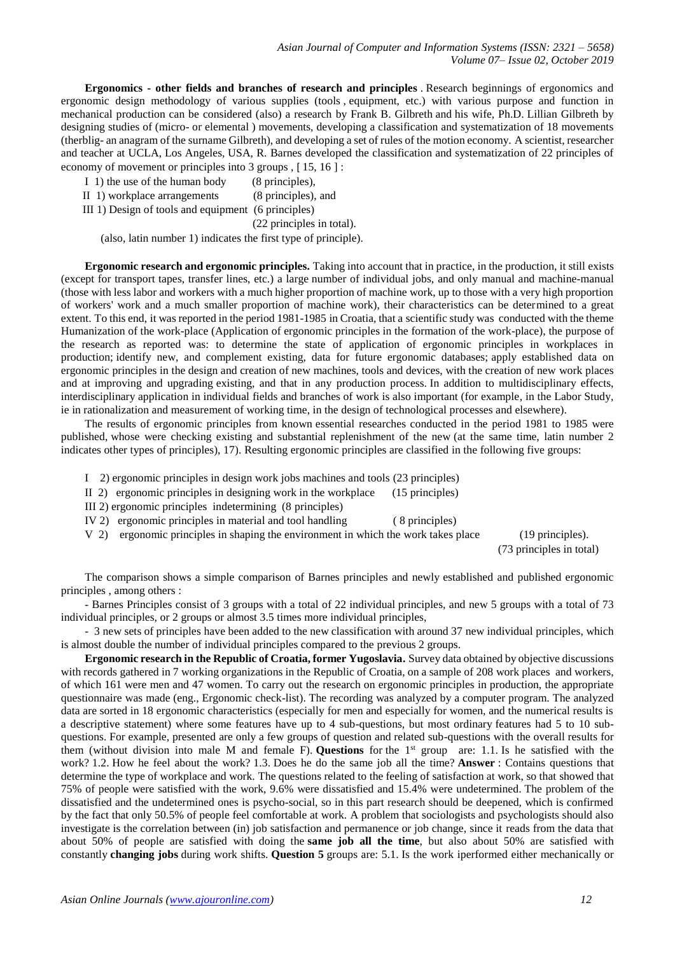**Ergonomics - other fields and branches of research and principles** . Research beginnings of ergonomics and ergonomic design methodology of various supplies (tools , equipment, etc.) with various purpose and function in mechanical production can be considered (also) a research by Frank B. Gilbreth and his wife, Ph.D. Lillian Gilbreth by designing studies of (micro- or elemental ) movements, developing a classification and systematization of 18 movements (therblig- an anagram of the surname Gilbreth), and developing a set of rules of the motion economy. A scientist, researcher and teacher at UCLA, Los Angeles, USA, R. Barnes developed the classification and systematization of 22 principles of economy of movement or principles into 3 groups , [ 15, 16 ] :

- I 1) the use of the human body (8 principles),
- II 1) workplace arrangements (8 principles), and
- III 1) Design of tools and equipment (6 principles)

(22 principles in total).

(also, latin number 1) indicates the first type of principle).

**Ergonomic research and ergonomic principles.** Taking into account that in practice, in the production, it still exists (except for transport tapes, transfer lines, etc.) a large number of individual jobs, and only manual and machine-manual (those with less labor and workers with a much higher proportion of machine work, up to those with a very high proportion of workers' work and a much smaller proportion of machine work), their characteristics can be determined to a great extent. To this end, it was reported in the period 1981-1985 in Croatia, that a scientific study was conducted with the theme Humanization of the work-place (Application of ergonomic principles in the formation of the work-place), the purpose of the research as reported was: to determine the state of application of ergonomic principles in workplaces in production; identify new, and complement existing, data for future ergonomic databases; apply established data on ergonomic principles in the design and creation of new machines, tools and devices, with the creation of new work places and at improving and upgrading existing, and that in any production process. In addition to multidisciplinary effects, interdisciplinary application in individual fields and branches of work is also important (for example, in the Labor Study, ie in rationalization and measurement of working time, in the design of technological processes and elsewhere).

The results of ergonomic principles from known essential researches conducted in the period 1981 to 1985 were published, whose were checking existing and substantial replenishment of the new (at the same time, latin number 2 indicates other types of principles), 17). Resulting ergonomic principles are classified in the following five groups:

- I 2) ergonomic principles in design work jobs machines and tools (23 principles)
- II 2) ergonomic principles in designing work in the workplace (15 principles)
- III 2) ergonomic principles indetermining (8 principles)
- IV 2) ergonomic principles in material and tool handling ( 8 principles)
- V 2) ergonomic principles in shaping the environment in which the work takes place (19 principles).

(73 principles in total)

The comparison shows a simple comparison of Barnes principles and newly established and published ergonomic principles , among others :

- Barnes Principles consist of 3 groups with a total of 22 individual principles, and new 5 groups with a total of 73 individual principles, or 2 groups or almost 3.5 times more individual principles,

- 3 new sets of principles have been added to the new classification with around 37 new individual principles, which is almost double the number of individual principles compared to the previous 2 groups.

**Ergonomic research in the Republic of Croatia, former Yugoslavia.** Survey data obtained by objective discussions with records gathered in 7 working organizations in the Republic of Croatia, on a sample of 208 work places and workers, of which 161 were men and 47 women. To carry out the research on ergonomic principles in production, the appropriate questionnaire was made (eng., Ergonomic check-list). The recording was analyzed by a computer program. The analyzed data are sorted in 18 ergonomic characteristics (especially for men and especially for women, and the numerical results is a descriptive statement) where some features have up to 4 sub-questions, but most ordinary features had 5 to 10 subquestions. For example, presented are only a few groups of question and related sub-questions with the overall results for them (without division into male M and female F). **Questions** for the  $1<sup>st</sup>$  group are: 1.1. Is he satisfied with the work? 1.2. How he feel about the work? 1.3. Does he do the same job all the time? **Answer** : Contains questions that determine the type of workplace and work. The questions related to the feeling of satisfaction at work, so that showed that 75% of people were satisfied with the work, 9.6% were dissatisfied and 15.4% were undetermined. The problem of the dissatisfied and the undetermined ones is psycho-social, so in this part research should be deepened, which is confirmed by the fact that only 50.5% of people feel comfortable at work. A problem that sociologists and psychologists should also investigate is the correlation between (in) job satisfaction and permanence or job change, since it reads from the data that about 50% of people are satisfied with doing the **same job all the time**, but also about 50% are satisfied with constantly **changing jobs** during work shifts. **Question 5** groups are: 5.1. Is the work iperformed either mechanically or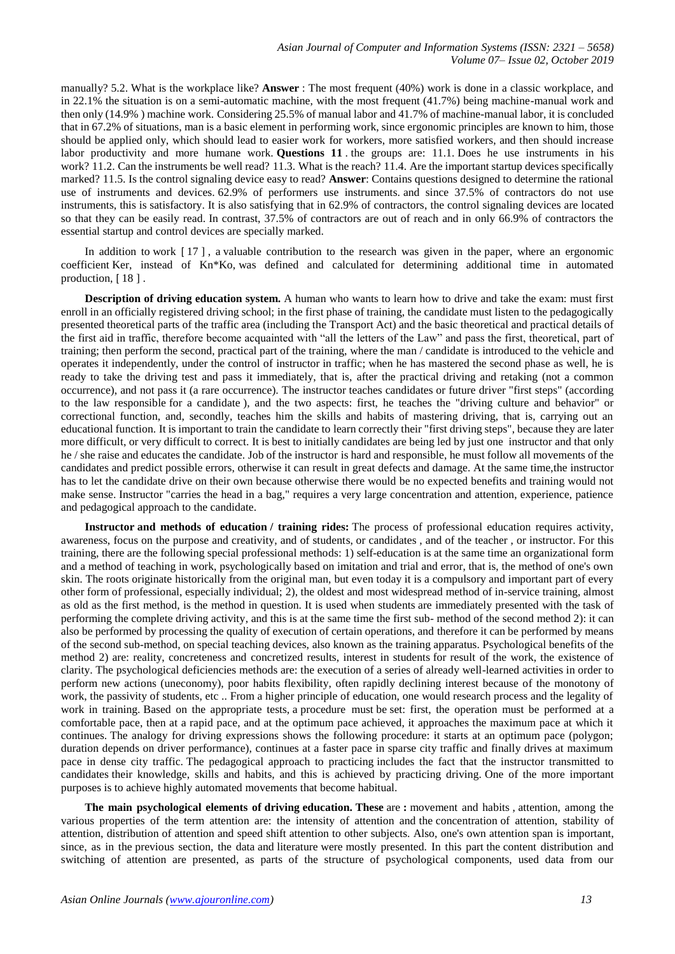manually? 5.2. What is the workplace like? **Answer** : The most frequent (40%) work is done in a classic workplace, and in 22.1% the situation is on a semi-automatic machine, with the most frequent (41.7%) being machine-manual work and then only (14.9% ) machine work. Considering 25.5% of manual labor and 41.7% of machine-manual labor, it is concluded that in 67.2% of situations, man is a basic element in performing work, since ergonomic principles are known to him, those should be applied only, which should lead to easier work for workers, more satisfied workers, and then should increase labor productivity and more humane work. **Questions 11** . the groups are: 11.1. Does he use instruments in his work? 11.2. Can the instruments be well read? 11.3. What is the reach? 11.4. Are the important startup devices specifically marked? 11.5. Is the control signaling device easy to read? **Answer**: Contains questions designed to determine the rational use of instruments and devices. 62.9% of performers use instruments. and since 37.5% of contractors do not use instruments, this is satisfactory. It is also satisfying that in 62.9% of contractors, the control signaling devices are located so that they can be easily read. In contrast, 37.5% of contractors are out of reach and in only 66.9% of contractors the essential startup and control devices are specially marked.

In addition to work [ 17 ] , a valuable contribution to the research was given in the paper, where an ergonomic coefficient Ker, instead of Kn\*Ko, was defined and calculated for determining additional time in automated production, [ 18 ] .

**Description of driving education system.** A human who wants to learn how to drive and take the exam: must first enroll in an officially registered driving school; in the first phase of training, the candidate must listen to the pedagogically presented theoretical parts of the traffic area (including the Transport Act) and the basic theoretical and practical details of the first aid in traffic, therefore become acquainted with "all the letters of the Law" and pass the first, theoretical, part of training; then perform the second, practical part of the training, where the man / candidate is introduced to the vehicle and operates it independently, under the control of instructor in traffic; when he has mastered the second phase as well, he is ready to take the driving test and pass it immediately, that is, after the practical driving and retaking (not a common occurrence), and not pass it (a rare occurrence). The instructor teaches candidates or future driver "first steps" (according to the law responsible for a candidate ), and the two aspects: first, he teaches the "driving culture and behavior" or correctional function, and, secondly, teaches him the skills and habits of mastering driving, that is, carrying out an educational function. It is important to train the candidate to learn correctly their "first driving steps", because they are later more difficult, or very difficult to correct. It is best to initially candidates are being led by just one instructor and that only he / she raise and educates the candidate. Job of the instructor is hard and responsible, he must follow all movements of the candidates and predict possible errors, otherwise it can result in great defects and damage. At the same time,the instructor has to let the candidate drive on their own because otherwise there would be no expected benefits and training would not make sense. Instructor "carries the head in a bag," requires a very large concentration and attention, experience, patience and pedagogical approach to the candidate.

**Instructor and methods of education / training rides:** The process of professional education requires activity, awareness, focus on the purpose and creativity, and of students, or candidates , and of the teacher , or instructor. For this training, there are the following special professional methods: 1) self-education is at the same time an organizational form and a method of teaching in work, psychologically based on imitation and trial and error, that is, the method of one's own skin. The roots originate historically from the original man, but even today it is a compulsory and important part of every other form of professional, especially individual; 2), the oldest and most widespread method of in-service training, almost as old as the first method, is the method in question. It is used when students are immediately presented with the task of performing the complete driving activity, and this is at the same time the first sub- method of the second method 2): it can also be performed by processing the quality of execution of certain operations, and therefore it can be performed by means of the second sub-method, on special teaching devices, also known as the training apparatus. Psychological benefits of the method 2) are: reality, concreteness and concretized results, interest in students for result of the work, the existence of clarity. The psychological deficiencies methods are: the execution of a series of already well-learned activities in order to perform new actions (uneconomy), poor habits flexibility, often rapidly declining interest because of the monotony of work, the passivity of students, etc .. From a higher principle of education, one would research process and the legality of work in training. Based on the appropriate tests, a procedure must be set: first, the operation must be performed at a comfortable pace, then at a rapid pace, and at the optimum pace achieved, it approaches the maximum pace at which it continues. The analogy for driving expressions shows the following procedure: it starts at an optimum pace (polygon; duration depends on driver performance), continues at a faster pace in sparse city traffic and finally drives at maximum pace in dense city traffic. The pedagogical approach to practicing includes the fact that the instructor transmitted to candidates their knowledge, skills and habits, and this is achieved by practicing driving. One of the more important purposes is to achieve highly automated movements that become habitual.

**The main psychological elements of driving education. These** are **:** movement and habits , attention, among the various properties of the term attention are: the intensity of attention and the concentration of attention, stability of attention, distribution of attention and speed shift attention to other subjects. Also, one's own attention span is important, since, as in the previous section, the data and literature were mostly presented. In this part the content distribution and switching of attention are presented, as parts of the structure of psychological components, used data from our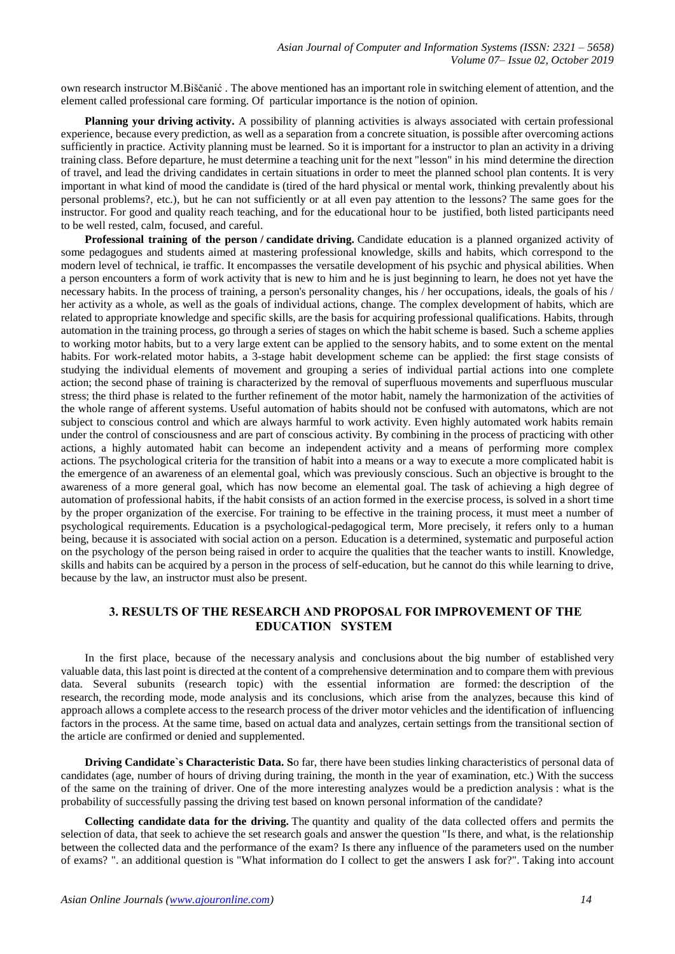own research instructor M.Biščanić . The above mentioned has an important role in switching element of attention, and the element called professional care forming. Of particular importance is the notion of opinion.

**Planning your driving activity.** A possibility of planning activities is always associated with certain professional experience, because every prediction, as well as a separation from a concrete situation, is possible after overcoming actions sufficiently in practice. Activity planning must be learned. So it is important for a instructor to plan an activity in a driving training class. Before departure, he must determine a teaching unit for the next "lesson" in his mind determine the direction of travel, and lead the driving candidates in certain situations in order to meet the planned school plan contents. It is very important in what kind of mood the candidate is (tired of the hard physical or mental work, thinking prevalently about his personal problems?, etc.), but he can not sufficiently or at all even pay attention to the lessons? The same goes for the instructor. For good and quality reach teaching, and for the educational hour to be justified, both listed participants need to be well rested, calm, focused, and careful.

**Professional training of the person / candidate driving.** Candidate education is a planned organized activity of some pedagogues and students aimed at mastering professional knowledge, skills and habits, which correspond to the modern level of technical, ie traffic. It encompasses the versatile development of his psychic and physical abilities. When a person encounters a form of work activity that is new to him and he is just beginning to learn, he does not yet have the necessary habits. In the process of training, a person's personality changes, his / her occupations, ideals, the goals of his / her activity as a whole, as well as the goals of individual actions, change. The complex development of habits, which are related to appropriate knowledge and specific skills, are the basis for acquiring professional qualifications. Habits, through automation in the training process, go through a series of stages on which the habit scheme is based. Such a scheme applies to working motor habits, but to a very large extent can be applied to the sensory habits, and to some extent on the mental habits. For work-related motor habits, a 3-stage habit development scheme can be applied: the first stage consists of studying the individual elements of movement and grouping a series of individual partial actions into one complete action; the second phase of training is characterized by the removal of superfluous movements and superfluous muscular stress; the third phase is related to the further refinement of the motor habit, namely the harmonization of the activities of the whole range of afferent systems. Useful automation of habits should not be confused with automatons, which are not subject to conscious control and which are always harmful to work activity. Even highly automated work habits remain under the control of consciousness and are part of conscious activity. By combining in the process of practicing with other actions, a highly automated habit can become an independent activity and a means of performing more complex actions. The psychological criteria for the transition of habit into a means or a way to execute a more complicated habit is the emergence of an awareness of an elemental goal, which was previously conscious. Such an objective is brought to the awareness of a more general goal, which has now become an elemental goal. The task of achieving a high degree of automation of professional habits, if the habit consists of an action formed in the exercise process, is solved in a short time by the proper organization of the exercise. For training to be effective in the training process, it must meet a number of psychological requirements. Education is a psychological-pedagogical term, More precisely, it refers only to a human being, because it is associated with social action on a person. Education is a determined, systematic and purposeful action on the psychology of the person being raised in order to acquire the qualities that the teacher wants to instill. Knowledge, skills and habits can be acquired by a person in the process of self-education, but he cannot do this while learning to drive, because by the law, an instructor must also be present.

### **3. RESULTS OF THE RESEARCH AND PROPOSAL FOR IMPROVEMENT OF THE EDUCATION SYSTEM**

In the first place, because of the necessary analysis and conclusions about the big number of established very valuable data, this last point is directed at the content of a comprehensive determination and to compare them with previous data. Several subunits (research topic) with the essential information are formed: the description of the research, the recording mode, mode analysis and its conclusions, which arise from the analyzes, because this kind of approach allows a complete access to the research process of the driver motor vehicles and the identification of influencing factors in the process. At the same time, based on actual data and analyzes, certain settings from the transitional section of the article are confirmed or denied and supplemented.

**Driving Candidate`s Characteristic Data. S**o far, there have been studies linking characteristics of personal data of candidates (age, number of hours of driving during training, the month in the year of examination, etc.) With the success of the same on the training of driver. One of the more interesting analyzes would be a prediction analysis : what is the probability of successfully passing the driving test based on known personal information of the candidate?

**Collecting candidate data for the driving.** The quantity and quality of the data collected offers and permits the selection of data, that seek to achieve the set research goals and answer the question "Is there, and what, is the relationship between the collected data and the performance of the exam? Is there any influence of the parameters used on the number of exams? ". an additional question is "What information do I collect to get the answers I ask for?". Taking into account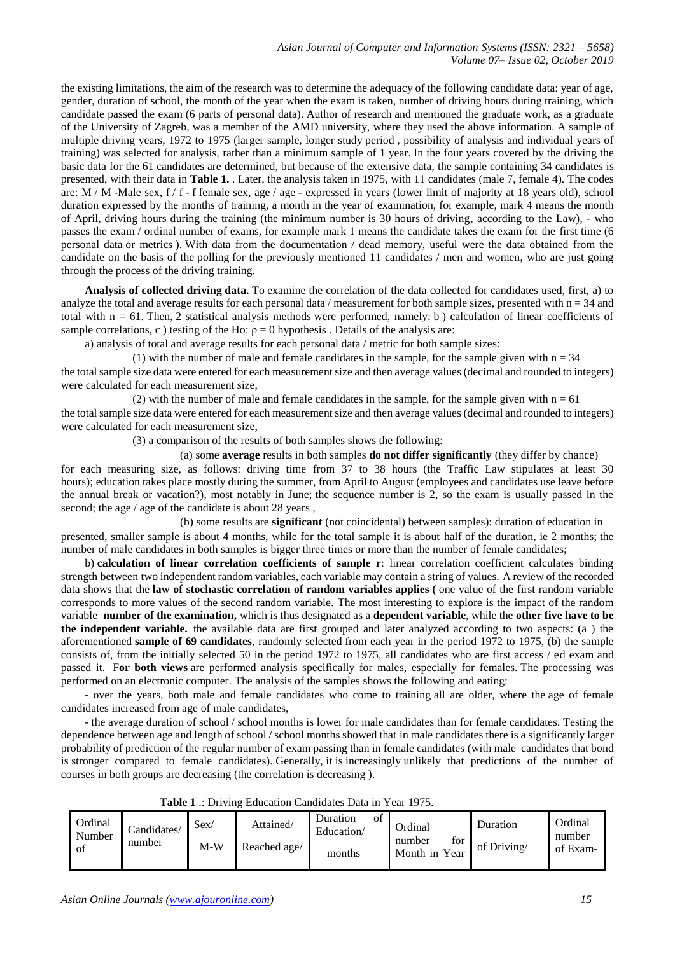the existing limitations, the aim of the research was to determine the adequacy of the following candidate data: year of age, gender, duration of school, the month of the year when the exam is taken, number of driving hours during training, which candidate passed the exam (6 parts of personal data). Author of research and mentioned the graduate work, as a graduate of the University of Zagreb, was a member of the AMD university, where they used the above information. A sample of multiple driving years, 1972 to 1975 (larger sample, longer study period , possibility of analysis and individual years of training) was selected for analysis, rather than a minimum sample of 1 year. In the four years covered by the driving the basic data for the 61 candidates are determined, but because of the extensive data, the sample containing 34 candidates is presented, with their data in **Table 1.** . Later, the analysis taken in 1975, with 11 candidates (male 7, female 4). The codes are: M / M -Male sex, f / f - f female sex, age / age - expressed in years (lower limit of majority at 18 years old), school duration expressed by the months of training, a month in the year of examination, for example, mark 4 means the month of April, driving hours during the training (the minimum number is 30 hours of driving, according to the Law), - who passes the exam / ordinal number of exams, for example mark 1 means the candidate takes the exam for the first time (6 personal data or metrics ). With data from the documentation / dead memory, useful were the data obtained from the candidate on the basis of the polling for the previously mentioned 11 candidates / men and women, who are just going through the process of the driving training.

**Analysis of collected driving data.** To examine the correlation of the data collected for candidates used, first, a) to analyze the total and average results for each personal data / measurement for both sample sizes, presented with  $n = 34$  and total with  $n = 61$ . Then, 2 statistical analysis methods were performed, namely: b) calculation of linear coefficients of sample correlations, c ) testing of the Ho:  $\rho = 0$  hypothesis. Details of the analysis are:

a) analysis of total and average results for each personal data / metric for both sample sizes:

(1) with the number of male and female candidates in the sample, for the sample given with  $n = 34$ the total sample size data were entered for each measurement size and then average values (decimal and rounded to integers) were calculated for each measurement size,

(2) with the number of male and female candidates in the sample, for the sample given with  $n = 61$ the total sample size data were entered for each measurement size and then average values (decimal and rounded to integers) were calculated for each measurement size,

(3) a comparison of the results of both samples shows the following:

(a) some **average** results in both samples **do not differ significantly** (they differ by chance)

for each measuring size, as follows: driving time from 37 to 38 hours (the Traffic Law stipulates at least 30 hours); education takes place mostly during the summer, from April to August (employees and candidates use leave before the annual break or vacation?), most notably in June; the sequence number is 2, so the exam is usually passed in the second; the age / age of the candidate is about 28 years ,

(b) some results are **significant** (not coincidental) between samples): duration of education in presented, smaller sample is about 4 months, while for the total sample it is about half of the duration, ie 2 months; the number of male candidates in both samples is bigger three times or more than the number of female candidates;

b) **calculation of linear correlation coefficients of sample r**: linear correlation coefficient calculates binding strength between two independent random variables, each variable may contain a string of values. A review of the recorded data shows that the **law of stochastic correlation of random variables applies (** one value of the first random variable corresponds to more values of the second random variable. The most interesting to explore is the impact of the random variable **number of the examination,** which is thus designated as a **dependent variable**, while the **other five have to be the independent variable.** the available data are first grouped and later analyzed according to two aspects: (a ) the aforementioned **sample of 69 candidates**, randomly selected from each year in the period 1972 to 1975, (b) the sample consists of, from the initially selected 50 in the period 1972 to 1975, all candidates who are first access / ed exam and passed it. F**or both views** are performed analysis specifically for males, especially for females. The processing was performed on an electronic computer. The analysis of the samples shows the following and eating:

- over the years, both male and female candidates who come to training all are older, where the age of female candidates increased from age of male candidates,

- the average duration of school / school months is lower for male candidates than for female candidates. Testing the dependence between age and length of school / school months showed that in male candidates there is a significantly larger probability of prediction of the regular number of exam passing than in female candidates (with male candidates that bond is stronger compared to female candidates). Generally, it is increasingly unlikely that predictions of the number of courses in both groups are decreasing (the correlation is decreasing ).

**Table 1** .: Driving Education Candidates Data in Year 1975.

| Ordinal<br>Number<br>of | Candidates/<br>number | Sex<br>$M-W$ | Attained/<br>Reached age/ | Duration<br>οt<br>Education/<br>months | Ordinal<br>for<br>number<br>Month in Year | Duration<br>of Driving/ | Ordinal<br>number<br>of Exam- |
|-------------------------|-----------------------|--------------|---------------------------|----------------------------------------|-------------------------------------------|-------------------------|-------------------------------|
|-------------------------|-----------------------|--------------|---------------------------|----------------------------------------|-------------------------------------------|-------------------------|-------------------------------|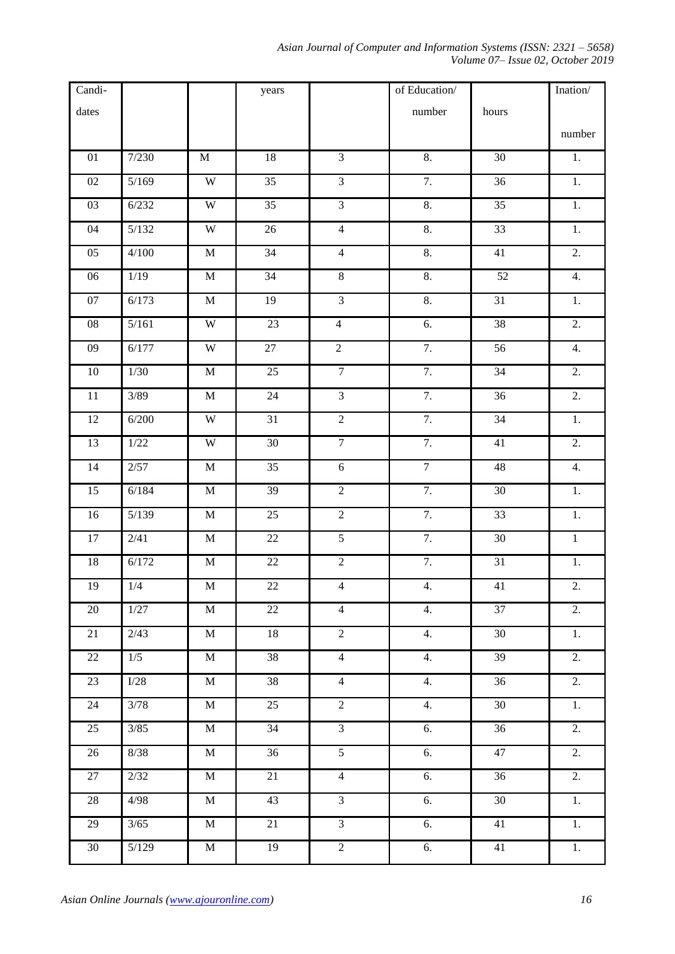*Asian Journal of Computer and Information Systems (ISSN: 2321 – 5658) Volume 07– Issue 02, October 2019*

| Candi-          |                   |                       | years           |                         | of Education/    |                 | $\text{Ination}/% \mathcal{N}=\left( \left\langle \phi_{i}\right\rangle \left\langle \phi_{i}\right\rangle \right)$ |
|-----------------|-------------------|-----------------------|-----------------|-------------------------|------------------|-----------------|---------------------------------------------------------------------------------------------------------------------|
| $\text{dates}$  |                   |                       |                 |                         | number           | hours           |                                                                                                                     |
|                 |                   |                       |                 |                         |                  |                 | number                                                                                                              |
| $01\,$          | 7/230             | $\mathbf M$           | $18\,$          | $\overline{3}$          | 8.               | 30              | $1.$                                                                                                                |
| $\overline{02}$ | 5/169             | $\overline{\text{W}}$ | $\overline{35}$ | $\overline{3}$          | 7.               | 36              | $\overline{1}$ .                                                                                                    |
| 03              | 6/232             | $\mathbf W$           | $\overline{35}$ | $\overline{3}$          | $\overline{8}$ . | $\overline{35}$ | $1. \,$                                                                                                             |
| 04              | 5/132             | $\overline{\text{W}}$ | 26              | $\overline{4}$          | 8.               | 33              | $\overline{1}$ .                                                                                                    |
| 05              | 4/100             | $\mathbf M$           | 34              | $\overline{4}$          | $\overline{8}$ . | $41\,$          | 2.                                                                                                                  |
| $\overline{06}$ | 1/19              | $\mathbf M$           | 34              | $8\,$                   | 8.               | 52              | $\overline{4}$ .                                                                                                    |
| 07              | 6/173             | $\mathbf M$           | 19              | $\overline{3}$          | 8.               | 31              | 1.                                                                                                                  |
| $\overline{08}$ | 5/161             | $\overline{\text{W}}$ | 23              | $\overline{4}$          | 6.               | 38              | $\overline{2}$ .                                                                                                    |
| $09\,$          | 6/177             | $\mathbf W$           | 27              | $\sqrt{2}$              | $\overline{7}$ . | $\overline{56}$ | 4.                                                                                                                  |
| $10\,$          | $\frac{1}{30}$    | $\mathbf M$           | $\overline{25}$ | $\overline{7}$          | 7.               | 34              | $\overline{2}$ .                                                                                                    |
| $11\,$          | $\overline{3/89}$ | $\mathbf M$           | $24\,$          | $\overline{\mathbf{3}}$ | 7.               | 36              | 2.                                                                                                                  |
| $\overline{12}$ | 6/200             | $\overline{\text{W}}$ | 31              | $\overline{2}$          | 7.               | 34              | $\overline{1}$ .                                                                                                    |
| 13              | $1/22$            | $\mathbf W$           | $\overline{30}$ | $\overline{7}$          | $\overline{7}$ . | $41\,$          | 2.                                                                                                                  |
| 14              | 2/57              | $\mathbf M$           | 35              | $\overline{6}$          | $\overline{7}$   | 48              | 4.                                                                                                                  |
| 15              | 6/184             | $\mathbf M$           | 39              | $\sqrt{2}$              | 7.               | $30\,$          | 1.                                                                                                                  |
| 16              | 5/139             | $\mathbf M$           | 25              | $\overline{2}$          | 7.               | 33              | $\overline{1}$ .                                                                                                    |
| $17\,$          | 2/41              | $\mathbf M$           | 22              | $\overline{5}$          | 7.               | 30              | $\,1\,$                                                                                                             |
| 18              | 6/172             | M                     | $22\,$          | $\overline{2}$          | 7.               | $\overline{31}$ | $1. \,$                                                                                                             |
| 19              | 1/4               | M                     | $22\,$          | $\overline{4}$          | 4.               | $41\,$          | 2.                                                                                                                  |
| $20\,$          | 1/27              | $\mathbf M$           | $22\,$          | $\overline{4}$          | 4.               | 37              | 2.                                                                                                                  |
| 21              | 2/43              | M                     | 18              | $\overline{2}$          | 4.               | 30              | 1.                                                                                                                  |
| 22              | 1/5               | $\overline{M}$        | 38              | $\overline{4}$          | 4.               | 39              | $\overline{2}$ .                                                                                                    |
| 23              | $\rm{I}/28$       | $\mathbf M$           | $38\,$          | $\overline{4}$          | 4.               | 36              | 2.                                                                                                                  |
| $24\,$          | $\frac{3}{78}$    | $\mathbf M$           | $\overline{25}$ | $\overline{2}$          | $\overline{4}$ . | $\overline{30}$ | $\overline{1}$ .                                                                                                    |
| 25              | $3/85$            | M                     | $\overline{34}$ | $\overline{3}$          | 6.               | 36              | 2.                                                                                                                  |
| 26              | 8/38              | $\overline{\text{M}}$ | 36              | $\overline{5}$          | 6.               | 47              | $\overline{2}$ .                                                                                                    |
| 27              | 2/32              | $\mathbf M$           | 21              | $\overline{4}$          | 6.               | 36              | 2.                                                                                                                  |
| $28\,$          | 4/98              | $\mathbf M$           | $\overline{43}$ | $\overline{3}$          | 6.               | $\overline{30}$ | $\overline{1}$ .                                                                                                    |
| 29              | $3/65$            | $\mathbf M$           | 21              | $\overline{3}$          | 6.               | 41              | $1.$                                                                                                                |
| $\overline{30}$ | $5/129$           | $\overline{\text{M}}$ | 19              | $\overline{2}$          | 6.               | 41              | $\overline{1}$ .                                                                                                    |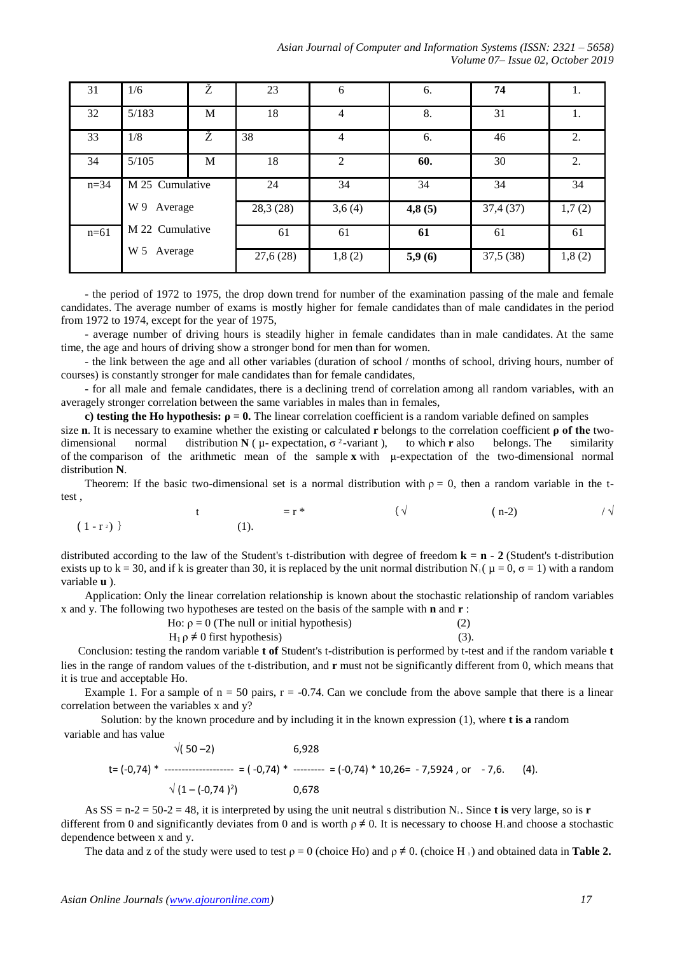| 31             | 1/6                               | Ž | 23        | 6              | 6.     | 74        |        |
|----------------|-----------------------------------|---|-----------|----------------|--------|-----------|--------|
| 32             | 5/183                             | M | 18        | 4              | 8.     | 31        |        |
| 33             | 1/8                               | Ž | 38        | $\overline{4}$ | 6.     | 46        | 2.     |
| 34             | 5/105                             | M | 18        | 2              | 60.    | 30        | 2.     |
| $n = 34$       | M 25 Cumulative<br>W 9<br>Average |   | 24        | 34             | 34     | 34        | 34     |
|                |                                   |   | 28,3 (28) | 3,6(4)         | 4,8(5) | 37,4(37)  | 1,7(2) |
| $n=61$         | M 22 Cumulative                   |   | 61        | 61             | 61     | 61        | 61     |
| W 5<br>Average |                                   |   | 27,6 (28) | 1,8(2)         | 5,9(6) | 37,5 (38) | 1,8(2) |

- the period of 1972 to 1975, the drop down trend for number of the examination passing of the male and female candidates. The average number of exams is mostly higher for female candidates than of male candidates in the period from 1972 to 1974, except for the year of 1975,

- average number of driving hours is steadily higher in female candidates than in male candidates. At the same time, the age and hours of driving show a stronger bond for men than for women.

- the link between the age and all other variables (duration of school / months of school, driving hours, number of courses) is constantly stronger for male candidates than for female candidates,

- for all male and female candidates, there is a declining trend of correlation among all random variables, with an averagely stronger correlation between the same variables in males than in females,

**c) testing the Ho hypothesis:**  $\rho = 0$ . The linear correlation coefficient is a random variable defined on samples

size **n**. It is necessary to examine whether the existing or calculated **r** belongs to the correlation coefficient **ρ of the** twodimensional normal distribution  $N(\mu$ - expectation,  $\sigma^2$ -variant), to which **r** also belongs. The similarity of the comparison of the arithmetic mean of the sample **x** with μ-expectation of the two-dimensional normal distribution **N**.

Theorem: If the basic two-dimensional set is a normal distribution with  $\rho = 0$ , then a random variable in the ttest ,

t = r \* 
$$
\{\sqrt{\qquad} (n-2) \qquad / \sqrt{\ }
$$
  
(1).

distributed according to the law of the Student's t-distribution with degree of freedom  $\mathbf{k} = \mathbf{n} - 2$  (Student's t-distribution exists up to k = 30, and if k is greater than 30, it is replaced by the unit normal distribution N<sub>1</sub> ( $\mu$  = 0,  $\sigma$  = 1) with a random variable **u** ).

Application: Only the linear correlation relationship is known about the stochastic relationship of random variables x and y. The following two hypotheses are tested on the basis of the sample with **n** and **r** :

| Ho: $ρ = 0$ (The null or initial hypothesis) |         |
|----------------------------------------------|---------|
| $H_1 \rho \neq 0$ first hypothesis)          | $(3)$ . |

Conclusion: testing the random variable **t of** Student's t-distribution is performed by t-test and if the random variable **t** lies in the range of random values of the t-distribution, and **r** must not be significantly different from 0, which means that it is true and acceptable Ho.

Example 1. For a sample of  $n = 50$  pairs,  $r = -0.74$ . Can we conclude from the above sample that there is a linear correlation between the variables x and y?

 Solution: by the known procedure and by including it in the known expression (1), where **t is a** random variable and has value

$$
\sqrt{(50-2)}
$$
 6,928  
te (-0,74)\* 10,26= -7,5924, or -7,6. (4).  

$$
\sqrt{(1-(-0,74)^2)}
$$
 0,678

As  $SS = n-2 = 50-2 = 48$ , it is interpreted by using the unit neutral s distribution N<sub>1</sub>. Since **t** is very large, so is **r** different from 0 and significantly deviates from 0 and is worth  $\rho \neq 0$ . It is necessary to choose H<sub>1</sub> and choose a stochastic dependence between x and y.

The data and z of the study were used to test  $\rho = 0$  (choice Ho) and  $\rho \neq 0$ . (choice H<sub>i</sub>) and obtained data in **Table 2.** 

 $(1 - r)$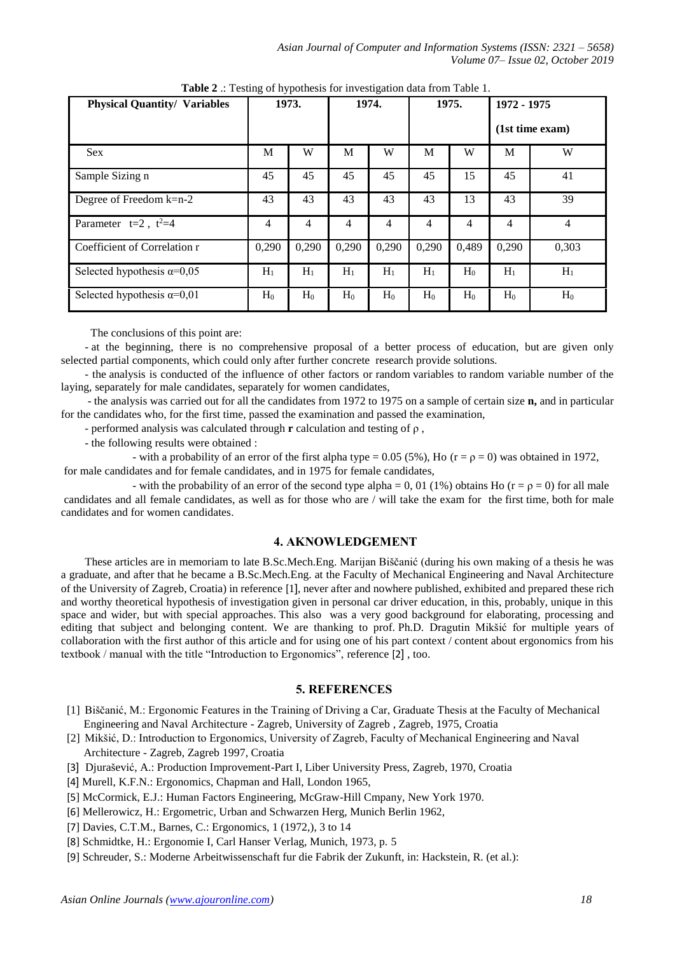| <b>Physical Quantity/ Variables</b> | 1973. |                | 1974. |                | 1975. |       | 1972 - 1975     |       |
|-------------------------------------|-------|----------------|-------|----------------|-------|-------|-----------------|-------|
|                                     |       |                |       |                |       |       | (1st time exam) |       |
| <b>Sex</b>                          | M     | W              | M     | W              | M     | W     | M               | W     |
| Sample Sizing n                     | 45    | 45             | 45    | 45             | 45    | 15    | 45              | 41    |
| Degree of Freedom k=n-2             | 43    | 43             | 43    | 43             | 43    | 13    | 43              | 39    |
| Parameter $t=2$ , $t^2=4$           | 4     | $\overline{4}$ | 4     | $\overline{4}$ | 4     | 4     | $\overline{4}$  | 4     |
| Coefficient of Correlation r        | 0,290 | 0,290          | 0,290 | 0,290          | 0,290 | 0,489 | 0,290           | 0,303 |
| Selected hypothesis $\alpha=0.05$   | $H_1$ | $H_1$          | $H_1$ | $H_1$          | $H_1$ | $H_0$ | $H_1$           | $H_1$ |
| Selected hypothesis $\alpha=0.01$   | $H_0$ | $H_0$          | $H_0$ | $H_0$          | $H_0$ | $H_0$ | $H_0$           | $H_0$ |

**Table 2** .: Testing of hypothesis for investigation data from Table 1.

The conclusions of this point are:

- at the beginning, there is no comprehensive proposal of a better process of education, but are given only selected partial components, which could only after further concrete research provide solutions.

- the analysis is conducted of the influence of other factors or random variables to random variable number of the laying, separately for male candidates, separately for women candidates,

- the analysis was carried out for all the candidates from 1972 to 1975 on a sample of certain size **n,** and in particular for the candidates who, for the first time, passed the examination and passed the examination,

- performed analysis was calculated through **r** calculation and testing of ρ ,

- the following results were obtained :

- with a probability of an error of the first alpha type = 0.05 (5%). Ho ( $r = \rho = 0$ ) was obtained in 1972, for male candidates and for female candidates, and in 1975 for female candidates,

- with the probability of an error of the second type alpha = 0, 01 (1%) obtains Ho ( $r = \rho = 0$ ) for all male candidates and all female candidates, as well as for those who are / will take the exam for the first time, both for male candidates and for women candidates.

### **4. AKNOWLEDGEMENT**

These articles are in memoriam to late B.Sc.Mech.Eng. Marijan Biščanić (during his own making of a thesis he was a graduate, and after that he became a B.Sc.Mech.Eng. at the Faculty of Mechanical Engineering and Naval Architecture of the University of Zagreb, Croatia) in reference [1], never after and nowhere published, exhibited and prepared these rich and worthy theoretical hypothesis of investigation given in personal car driver education, in this, probably, unique in this space and wider, but with special approaches. This also was a very good background for elaborating, processing and editing that subject and belonging content. We are thanking to prof. Ph.D. Dragutin Mikšić for multiple years of collaboration with the first author of this article and for using one of his part context / content about ergonomics from his textbook / manual with the title "Introduction to Ergonomics", reference [2] , too.

#### **5. REFERENCES**

- [1] Biščanić, M.: Ergonomic Features in the Training of Driving a Car, Graduate Thesis at the Faculty of Mechanical Engineering and Naval Architecture - Zagreb, University of Zagreb , Zagreb, 1975, Croatia
- [2] Mikšić, D.: Introduction to Ergonomics, University of Zagreb, Faculty of Mechanical Engineering and Naval Architecture - Zagreb, Zagreb 1997, Croatia
- [3] Djurašević, A.: Production Improvement-Part I, Liber University Press, Zagreb, 1970, Croatia
- [4] Murell, K.F.N.: Ergonomics, Chapman and Hall, London 1965,
- [5] McCormick, E.J.: Human Factors Engineering, McGraw-Hill Cmpany, New York 1970.
- [6] Mellerowicz, H.: Ergometric, Urban and Schwarzen Herg, Munich Berlin 1962,
- [7] Davies, C.T.M., Barnes, C.: Ergonomics, 1 (1972,), 3 to 14
- [8] Schmidtke, H.: Ergonomie I, Carl Hanser Verlag, Munich, 1973, p. 5
- [9] Schreuder, S.: Moderne Arbeitwissenschaft fur die Fabrik der Zukunft, in: Hackstein, R. (et al.):